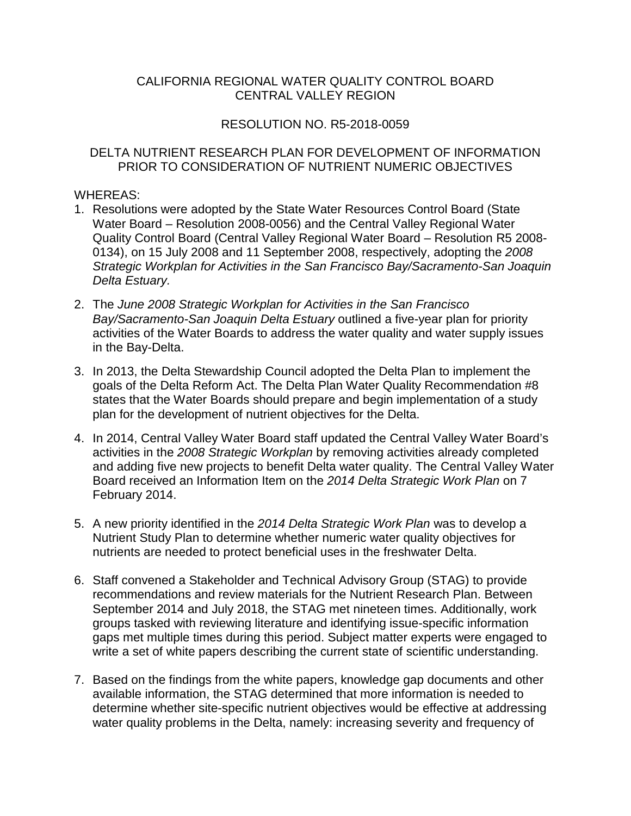## CENTRAL VALLEY REGION CALIFORNIA REGIONAL WATER QUALITY CONTROL BOARD

## RESOLUTION NO. R5-2018-0059

## PRIOR TO CONSIDERATION OF NUTRIENT NUMERIC OBJECTIVES WHEREAS: DELTA NUTRIENT RESEARCH PLAN FOR DEVELOPMENT OF INFORMATION

- 1. Resolutions were adopted by the State Water Resources Control Board (State Water Board – Resolution 2008-0056) and the Central Valley Regional Water *Delta Estuary.* Quality Control Board (Central Valley Regional Water Board – Resolution R5 2008- 0134), on 15 July 2008 and 11 September 2008, respectively, adopting the *2008 Strategic Workplan for Activities in the San Francisco Bay/Sacramento-San Joaquin*
- activities of the Water Boards to address the water quality and water supply issues 2. The *June 2008 Strategic Workplan for Activities in the San Francisco Bay/Sacramento-San Joaquin Delta Estuary* outlined a five-year plan for priority in the Bay-Delta.
- 3. In 2013, the Delta Stewardship Council adopted the Delta Plan to implement the goals of the Delta Reform Act. The Delta Plan Water Quality Recommendation #8 states that the Water Boards should prepare and begin implementation of a study plan for the development of nutrient objectives for the Delta.
- and adding five new projects to benefit Delta water quality. The Central Valley Water 4. In 2014, Central Valley Water Board staff updated the Central Valley Water Board's activities in the *2008 Strategic Workplan* by removing activities already completed Board received an Information Item on the *2014 Delta Strategic Work Plan* on 7 February 2014.
- 5. A new priority identified in the *2014 Delta Strategic Work Plan* was to develop a nutrients are needed to protect beneficial uses in the freshwater Delta. Nutrient Study Plan to determine whether numeric water quality objectives for
- gaps met multiple times during this period. Subject matter experts were engaged to write a set of white papers describing the current state of scientific understanding. 6. Staff convened a Stakeholder and Technical Advisory Group (STAG) to provide recommendations and review materials for the Nutrient Research Plan. Between September 2014 and July 2018, the STAG met nineteen times. Additionally, work groups tasked with reviewing literature and identifying issue-specific information
- write a set of white papers describing the current state of scientific understanding. 7. Based on the findings from the white papers, knowledge gap documents and other available information, the STAG determined that more information is needed to determine whether site-specific nutrient objectives would be effective at addressing water quality problems in the Delta, namely: increasing severity and frequency of